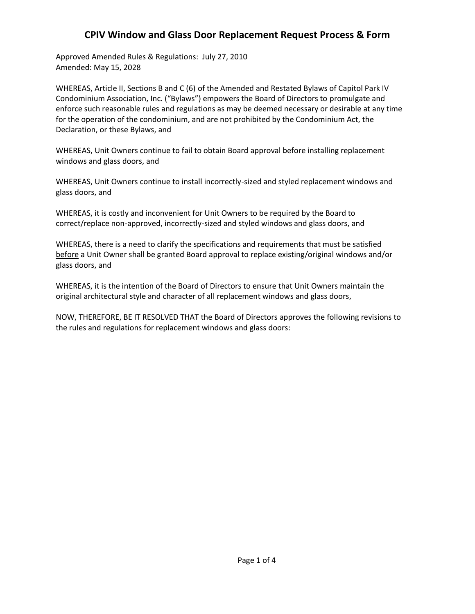Approved Amended Rules & Regulations: July 27, 2010 Amended: May 15, 2028

WHEREAS, Article II, Sections B and C (6) of the Amended and Restated Bylaws of Capitol Park IV Condominium Association, Inc. ("Bylaws") empowers the Board of Directors to promulgate and enforce such reasonable rules and regulations as may be deemed necessary or desirable at any time for the operation of the condominium, and are not prohibited by the Condominium Act, the Declaration, or these Bylaws, and

WHEREAS, Unit Owners continue to fail to obtain Board approval before installing replacement windows and glass doors, and

WHEREAS, Unit Owners continue to install incorrectly-sized and styled replacement windows and glass doors, and

WHEREAS, it is costly and inconvenient for Unit Owners to be required by the Board to correct/replace non-approved, incorrectly-sized and styled windows and glass doors, and

WHEREAS, there is a need to clarify the specifications and requirements that must be satisfied before a Unit Owner shall be granted Board approval to replace existing/original windows and/or glass doors, and

WHEREAS, it is the intention of the Board of Directors to ensure that Unit Owners maintain the original architectural style and character of all replacement windows and glass doors,

NOW, THEREFORE, BE IT RESOLVED THAT the Board of Directors approves the following revisions to the rules and regulations for replacement windows and glass doors: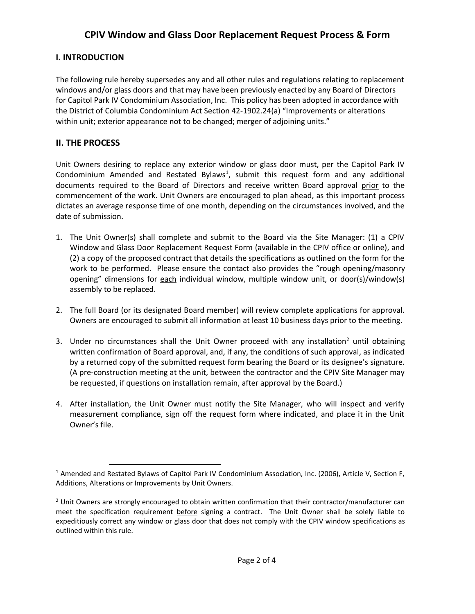### **I. INTRODUCTION**

The following rule hereby supersedes any and all other rules and regulations relating to replacement windows and/or glass doors and that may have been previously enacted by any Board of Directors for Capitol Park IV Condominium Association, Inc. This policy has been adopted in accordance with the District of Columbia Condominium Act Section 42-1902.24(a) "Improvements or alterations within unit; exterior appearance not to be changed; merger of adjoining units."

### **II. THE PROCESS**

Unit Owners desiring to replace any exterior window or glass door must, per the Capitol Park IV Condominium Amended and Restated Bylaws<sup>1</sup>, submit this request form and any additional documents required to the Board of Directors and receive written Board approval prior to the commencement of the work. Unit Owners are encouraged to plan ahead, as this important process dictates an average response time of one month, depending on the circumstances involved, and the date of submission.

- 1. The Unit Owner(s) shall complete and submit to the Board via the Site Manager: (1) a CPIV Window and Glass Door Replacement Request Form (available in the CPIV office or online), and (2) a copy of the proposed contract that details the specifications as outlined on the form for the work to be performed. Please ensure the contact also provides the "rough opening/masonry opening" dimensions for each individual window, multiple window unit, or door(s)/window(s) assembly to be replaced.
- 2. The full Board (or its designated Board member) will review complete applications for approval. Owners are encouraged to submit all information at least 10 business days prior to the meeting.
- 3. Under no circumstances shall the Unit Owner proceed with any installation<sup>2</sup> until obtaining written confirmation of Board approval, and, if any, the conditions of such approval, as indicated by a returned copy of the submitted request form bearing the Board or its designee's signature. (A pre-construction meeting at the unit, between the contractor and the CPIV Site Manager may be requested, if questions on installation remain, after approval by the Board.)
- 4. After installation, the Unit Owner must notify the Site Manager, who will inspect and verify measurement compliance, sign off the request form where indicated, and place it in the Unit Owner's file.

<sup>1</sup> Amended and Restated Bylaws of Capitol Park IV Condominium Association, Inc. (2006), Article V, Section F, Additions, Alterations or Improvements by Unit Owners.

 $<sup>2</sup>$  Unit Owners are strongly encouraged to obtain written confirmation that their contractor/manufacturer can</sup> meet the specification requirement before signing a contract. The Unit Owner shall be solely liable to expeditiously correct any window or glass door that does not comply with the CPIV window specifications as outlined within this rule.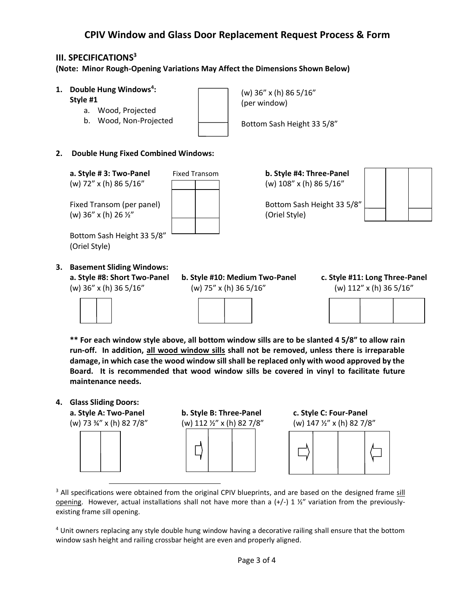### **III. SPECIFICATIONS<sup>3</sup>**

**(Note: Minor Rough-Opening Variations May Affect the Dimensions Shown Below)**

- **1. Double Hung Windows<sup>4</sup> :**
	- **Style #1**
		- a. Wood, Projected
		- b. Wood, Non-Projected

(w) 36" x (h) 86 5/16" (per window)

Bottom Sash Height 33 5/8"

**2. Double Hung Fixed Combined Windows:**

**a. Style # 3: Two-Panel** Fixed Transom **b. Style #4: Three-Panel** (w) 72" x (h) 86 5/16" (w) 108" x (h) 86 5/16"

Fixed Transom (per panel)  $\vert$  | | Bottom Sash Height 33 5/8" (w)  $36'' \times (h) 26 \frac{1}{2}$  (Oriel Style)

Bottom Sash Height 33 5/8" (Oriel Style)

**3. Basement Sliding Windows:**







**\*\* For each window style above, all bottom window sills are to be slanted 4 5/8" to allow rain run-off. In addition, all wood window sills shall not be removed, unless there is irreparable damage, in which case the wood window sill shall be replaced only with wood approved by the Board. It is recommended that wood window sills be covered in vinyl to facilitate future maintenance needs.**

**4. Glass Sliding Doors:**



**a. Style A: Two-Panel b. Style B: Three-Panel c. Style C: Four-Panel** 口



<sup>3</sup> All specifications were obtained from the original CPIV blueprints, and are based on the designed frame sill opening. However, actual installations shall not have more than a  $(+/-)$  1  $\frac{1}{2}$ " variation from the previouslyexisting frame sill opening.

<sup>4</sup> Unit owners replacing any style double hung window having a decorative railing shall ensure that the bottom window sash height and railing crossbar height are even and properly aligned.